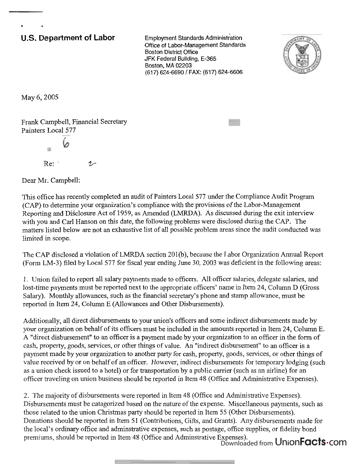## **U.S. Department of Labor** Employment Standards Administration

Office of Labor-Management Standards Boston District Office JFK Federal Building, E-365 Boston, MA 02203 (617) 624-6690 / FAX: (617) 624-6606



May 6,2005

**<sup>b</sup>**-

Frank Campbell, Financial Secretary Painters Local *577* 

 $Re: '$  2

Dear Mr. Campbell:

This office has recently completed an audit of Painters Local 577 under the Compliance Audit Program (CAP) to determine your organization's compliance with the provisions of the Labor-Management Reporting and Disclosure Act of 1959, as Amended (LMRDA). As discussed during the exit interview with you and Carl Hanson on this date, the following problems were disclosed during the CAP. The matters listed below are not an exhaustive list of all possible problem areas since the audit conducted was limited in scope.

The CAP disclosed a violation of LMRDA section 201(b), because the Labor Organization Annual Report (Form LM-3) filed by Local *577* for fiscal year ending June 30,2003 was deficient in the following areas:

1. Union failed to report all salary payments made to officers. All officer salaries, delegate salaries, and lost-time payments must be reported next to the appropriate officers' name in Item 24, Column D (Gross Salary). Monthly allowances, such as the financial secretary's phone and stamp allowance, must be reported in Item 24, Column E (Allowances and Other Disbursements).

Additionally, all direct disbursements to your union's officers and some indirect disbursements made by your organization on behalf of its officers must be included in the amounts reported in Item 24, Column E. A "direct disbursement" to an officer is a payment made by your organization to an officer in the form of cash, property, goods, services, or other things of value. An "indirect disbursement" to an officer is a payment made by your organization to another party for cash, property, goods, services, or other things of value received by or on behalf of an officer. However, indirect disbursements for temporary lodging (such as a union check issued to a hotel) or for transportation by a public carrier (such as an airline) for an officer traveling on union business should be reported in Item 48 (Office and Administrative Expenses).

2. The majority of disbursements were reported in Item 48 (Office and Administrative Expenses). Disbursements must be catagorized based on the nature of the expense. Miscellaneous payments, such as those related to the union Christmas party should be reported in Item *55* (Other Disbursements). Donations should be reported in Item 51 (Contributions, Gifts, and Grants). Any disbursements made for the local's ordinary office and adminstrative expenses, such as postage, office supplies, or fidelity bond premiums, should be reported in Item 48 (Office and Adminstrative Expenses). Downloaded from